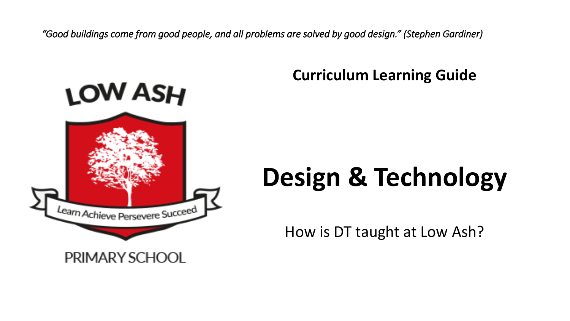*"Good buildings come from good people, and all problems are solved by good design." (Stephen Gardiner)*



## PRIMARY SCHOOL

# **Curriculum Learning Guide**

# **Design & Technology**

How is DT taught at Low Ash?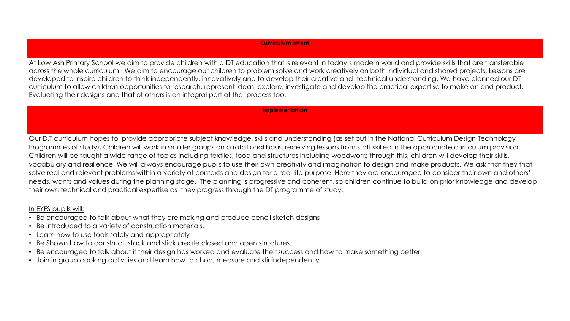At Low Ash Primary School we aim to provide children with a DT education that is relevant in today's modern world and provide skills that are transferable across the whole curriculum. We aim to encourage our children to problem solve and work creatively on both individual and shared projects. Lessons are developed to inspire children to think independently, innovatively and to develop their creative and technical understanding. We have planned our DT curriculum to allow children opportunities to research, represent ideas, explore, investigate and develop the practical expertise to make an end product. Evaluating their designs and that of others is an integral part of the process too.

#### **Implementation**

Our D.T curriculum hopes to provide appropriate subject knowledge, skills and understanding (as set out in the National Curriculum Design Technology Programmes of study)**.** Children will work in smaller groups on a rotational basis, receiving lessons from staff skilled in the appropriate curriculum provision. Children will be taught a wide range of topics including textiles, food and structures including woodwork; through this, children will develop their skills, vocabulary and resilience. We will always encourage pupils to use their own creativity and imagination to design and make products. We ask that they that solve real and relevant problems within a variety of contexts and design for a real life purpose. Here they are encouraged to consider their own and others' needs, wants and values during the planning stage. The planning is progressive and coherent, so children continue to build on prior knowledge and develop their own technical and practical expertise as they progress through the DT programme of study.

### In EYFS pupils will:

- Be encouraged to talk about what they are making and produce pencil sketch designs
- Be introduced to a variety of construction materials.
- Learn how to use tools safely and appropriately
- Be Shown how to construct, stack and stick create closed and open structures.
- Be encouraged to talk about if their design has worked and evaluate their success and how to make something better..
- Join in group cooking activities and learn how to chop, measure and stir independently.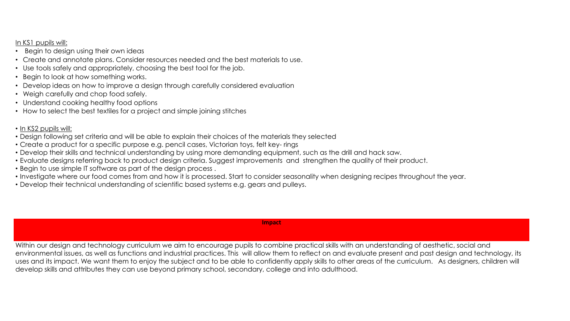In KS1 pupils will:

- Begin to design using their own ideas
- Create and annotate plans. Consider resources needed and the best materials to use.
- Use tools safely and appropriately, choosing the best tool for the job.
- Begin to look at how something works.
- Develop ideas on how to improve a design through carefully considered evaluation
- Weigh carefully and chop food safely.
- Understand cooking healthy food options
- How to select the best textiles for a project and simple joining stitches
- In KS2 pupils will:
- Design following set criteria and will be able to explain their choices of the materials they selected
- Create a product for a specific purpose e.g. pencil cases, Victorian toys, felt key- rings
- Develop their skills and technical understanding by using more demanding equipment, such as the drill and hack saw.
- Evaluate designs referring back to product design criteria. Suggest improvements and strengthen the quality of their product.
- Begin to use simple IT software as part of the design process .
- Investigate where our food comes from and how it is processed. Start to consider seasonality when designing recipes throughout the year.
- Develop their technical understanding of scientific based systems e.g. gears and pulleys.

**Impact**

Within our design and technology curriculum we aim to encourage pupils to combine practical skills with an understanding of aesthetic, social and environmental issues, as well as functions and industrial practices. This will allow them to reflect on and evaluate present and past design and technology, its uses and its impact. We want them to enjoy the subject and to be able to confidently apply skills to other areas of the curriculum. As designers, children will develop skills and attributes they can use beyond primary school, secondary, college and into adulthood.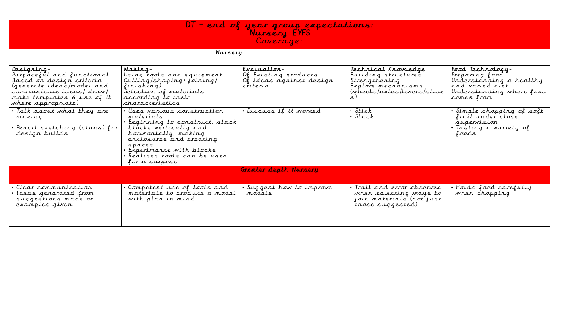

| Designing-<br>Purposeful and functional<br>Based on design criteria<br>(generate ideas/model and<br>communicate ideas/draw/<br>make templates & use of It<br>where appropriate) | Making-<br>Using tools and equipment<br>Cutting/shaping/joining/<br>finishing)<br>Selection of materials<br>according to their<br>characteristics                                                                                               | $Exalulation-$<br>Of Existing products<br>Of ideas against design<br>criteria | Technical Knowledge<br>Building structures<br>Strengthening<br>Explore mechanisms<br>(wheels/axles/levers/slide | Food Technology-<br>Preparing food<br>Understanding a healthy<br>and varied diet<br>Understanding where food<br>comes from |
|---------------------------------------------------------------------------------------------------------------------------------------------------------------------------------|-------------------------------------------------------------------------------------------------------------------------------------------------------------------------------------------------------------------------------------------------|-------------------------------------------------------------------------------|-----------------------------------------------------------------------------------------------------------------|----------------------------------------------------------------------------------------------------------------------------|
| . Talk about what they are<br>making<br>· Pencil sketching (plans) for<br>design builds                                                                                         | · Uses various construction<br>materials<br>• Beginning to construct, stack<br>blocks vertically and<br>horizontally, making<br>enclosures and creating<br>spaces<br>· Experiments with blocks<br>· Realises tools can be used<br>for a purpose | · Discuss if it worked                                                        | · Stick<br>· Stack                                                                                              | Simple chopping of soft<br>fruit under close<br>supervision<br>· Tasting a variety of<br>foods                             |
|                                                                                                                                                                                 |                                                                                                                                                                                                                                                 | Greater depth Nursery                                                         |                                                                                                                 |                                                                                                                            |
| Clear communication<br>Ideas generated from<br>suggestions made or<br>examples given.                                                                                           | • Competent use of tools and<br>materials to produce a model<br>with plan in mind                                                                                                                                                               | · Suggest how to improve<br>models                                            | · Trail and error observed<br>when selecting ways to<br>join materials (not just<br>those suggested)            | Holds food carefully<br>when chopping                                                                                      |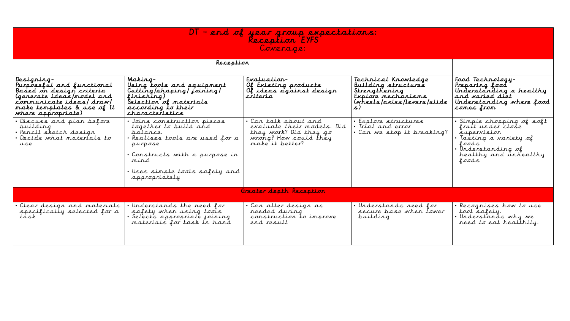## DT – end of year group expectations: Reception EYFS Coverage:

#### Reception

| Designing-<br>Purposeful and functional<br>Based on design criteria<br>(generate ideas/model and<br>communicate ideas/draw/<br>make templates & use of It<br>where appropriate) | Making-<br>Using tools and equipment<br>Cutting/shaping/joining/<br>finishing)<br>Selection of materials<br>according to their<br>characteristics                                                     | Evaluation-<br>Of Existing products<br>Of ideas against design<br>criteria                                               | Technical Knowledge<br>Building structures<br>Strengthening<br>Explore mechanisms<br>(wheels/axles/levers/slide<br>$\mathcal{L}$ . | Food Technology-<br>Preparing food<br>Understanding a healthy<br>and varied diet<br>Understanding where food<br>comes from                               |
|---------------------------------------------------------------------------------------------------------------------------------------------------------------------------------|-------------------------------------------------------------------------------------------------------------------------------------------------------------------------------------------------------|--------------------------------------------------------------------------------------------------------------------------|------------------------------------------------------------------------------------------------------------------------------------|----------------------------------------------------------------------------------------------------------------------------------------------------------|
| Discuss and plan before<br>puilding<br>· Pencil sketch design<br>Decide what materials to<br>use                                                                                | • Joins construction pieces<br>together to build and<br>balance.<br>Realises tools are used for a<br>purpose<br>Constructs with a purpose in<br>mind<br>Uses simple tools safely and<br>appropriately | • Can talk about and<br>evaluate their models. Did<br>they work? Did they go<br>wrong? How could they<br>make it better? | • Explore structures<br>• Trial and error<br>• Can we stop it breaking?                                                            | · Simple chopping of soft<br>fruit under close<br>supervision<br>• Tasting a variety of<br>foods<br>· Understanding of<br>healthy and unhealthy<br>foods |
|                                                                                                                                                                                 |                                                                                                                                                                                                       | Greater depth Reception                                                                                                  |                                                                                                                                    |                                                                                                                                                          |
| Clear design and materials<br>specifically selected for a<br>task                                                                                                               | Understands the need for<br>safety when using tools<br>Selects appropriate joining<br>materials for task in hand                                                                                      | . Can alter design as<br>reeded during<br>construction to improve<br>end result                                          | · Understands need for<br>secure base when tower<br>puilding                                                                       | · Recognises how to use<br>tool safely.<br>· Understands why we<br>need to eat healthily.                                                                |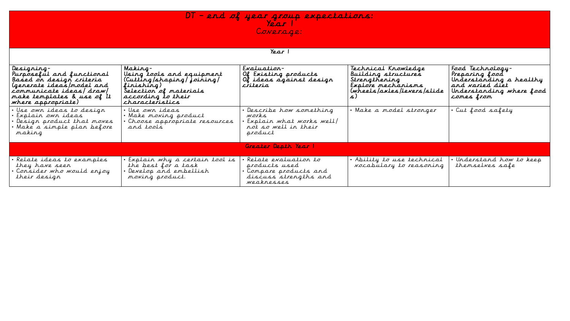DT – end of year group expectations: Year 1 Coverage:

| Designing-<br>Purposeful and functional<br>Based on design criteria<br>(generate ideas/model and<br>communicate ideas/ draw/<br>make templates & use of It<br>where appropriate) | Making-<br>Using tools and equipment<br>(Cutting/shaping/joining/<br>finishing)<br>Selection of materials<br>according to their<br>characteristics | $Exaluation-$<br>Of Existing products<br>Of ideas against design<br>criteria                           | Technical Knowledge<br>Building structures<br>Strengthening<br>Explore mechanisms<br>(wheels/axles/levers/slide | Food Technology-<br>Preparing food<br>Understanding a healthy<br>and varied diet<br>Understanding where food<br>comes from |
|----------------------------------------------------------------------------------------------------------------------------------------------------------------------------------|----------------------------------------------------------------------------------------------------------------------------------------------------|--------------------------------------------------------------------------------------------------------|-----------------------------------------------------------------------------------------------------------------|----------------------------------------------------------------------------------------------------------------------------|
| · Use own ideas to design<br>· Explain own ideas<br>· Design product that moves<br>· Make a simple plan before<br>making                                                         | · Use own ideas<br>. Make moving product<br>· Choose appropriate resources<br>and tools                                                            | · Describe how something<br>works<br>· Explain what works well/<br>not so well in their<br>product     | · Make a model stronger                                                                                         | · Cut food safety                                                                                                          |
|                                                                                                                                                                                  |                                                                                                                                                    | Greater Depth Year 1                                                                                   |                                                                                                                 |                                                                                                                            |
| · Relate ideas to examples<br>they have seen<br>Consider who would enjoy<br>their design                                                                                         | . Explain why a certain tool is<br>the best for a task<br>· Develop and embellish<br>moving product.                                               | • Relate evaluation to<br>products used<br>Compare products and<br>discuss strengths and<br>weaknesses | . Ability to use technical<br>vocabulary to reasoning                                                           | · Understand how to keep<br>themselves safe                                                                                |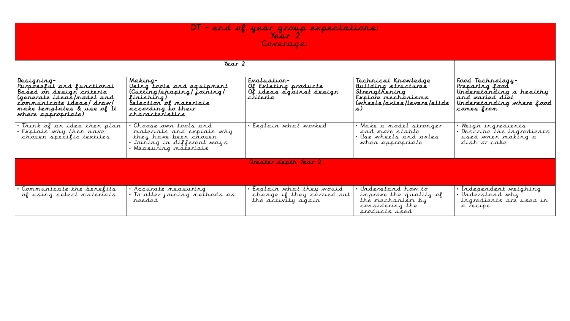## DT – end of year group expectations: Year 2 Coverage:

|  |  | Year |  |
|--|--|------|--|
|--|--|------|--|

| Designing-<br>Purposeful and functional<br>Based on design criteria<br>(generate ideas/model and<br>communicate ideas/draw/<br>make templates & use of It<br>where appropriate) | Making-<br>Using tools and equipment<br>(Cutting/shaping/joining/<br>finishing)<br>Selection of materials<br>according to their<br>characteristics | $Exaluation-$<br>Of Existing products<br>Of ideas against design<br>cřiteria  | Technical Knowledge<br>Building structures<br>Strengthening<br>Explore mechanisms<br>(wheels/axles/levers/slide | Food Technology-<br>Preparing food<br>Understanding a healthy<br>and varied diet<br>Understanding where food<br>comes from |
|---------------------------------------------------------------------------------------------------------------------------------------------------------------------------------|----------------------------------------------------------------------------------------------------------------------------------------------------|-------------------------------------------------------------------------------|-----------------------------------------------------------------------------------------------------------------|----------------------------------------------------------------------------------------------------------------------------|
| . Think of an idea then plan<br>Explain why then have<br>chosen specific textiles                                                                                               | • Choose own tools and<br>materials and explain why<br>they have been chosen<br>• Joining in different ways<br>· Measuring materials               | Explain what worked                                                           | • Make a model stronger<br>and more stable<br>• Use wheels and axles<br>when appropriate                        | • Weigh ingredients<br>• Describe the ingredients<br>used when making a<br>dish or cake                                    |
|                                                                                                                                                                                 |                                                                                                                                                    | Greater depth Year 2                                                          |                                                                                                                 |                                                                                                                            |
| • Communicate the benefits<br>of using select materials                                                                                                                         | · Accurate measuring<br>• To alter joining methods as<br>reeded                                                                                    | • Explain what they would<br>change if they carried out<br>the activity again | • Understand how to<br>improve the quality of<br>the mechanism by<br>considering the<br>products used           | • Independent weighing<br>· Understand why<br>ingredients are used in<br>a recipe.                                         |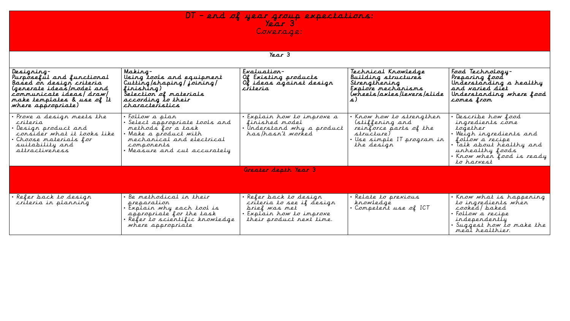DT – end of year group expectations: Year 3 Coverage:

#### Year 3

| Designing-<br>Purposeful and functional<br>Based on design criteria<br>(generate ideas/model and<br>communicate ideas/draw/<br>make templates & use of It<br>where appropriate) | Making-<br>Using tools and equipment<br>Cutting/shaping/joining/<br>finishing)<br>Selection of materials<br>according to their<br>characteristics                         | Evaluation-<br>Of Existing products<br>Of ideas against design<br>criteria                                               | Technical Knowledge<br>Building structures<br>Strengthening<br>Explore mechanisms<br>(wheels/axles/levers/slide               | Food Technology-<br>Preparing food<br>Understanding a healthy<br>and varied diet<br>Understanding where food<br>comes from                                                                |
|---------------------------------------------------------------------------------------------------------------------------------------------------------------------------------|---------------------------------------------------------------------------------------------------------------------------------------------------------------------------|--------------------------------------------------------------------------------------------------------------------------|-------------------------------------------------------------------------------------------------------------------------------|-------------------------------------------------------------------------------------------------------------------------------------------------------------------------------------------|
| • Prove a design meets the<br>criteria<br>• Design product and<br>consider what it looks like<br>• Choose materials for<br>suitability and<br>attractiveness                    | • Follow a plan<br>Select appropriate tools and<br>methods for a task<br>• Make a product with<br>mechanical and electrical<br>components<br>· Measure and cut accurately | Explain how to improve a<br>finished model<br>Understand why a product<br>has/hasn't worked                              | Know how to strengthen<br>(stiffening and<br>reinforce parts of the<br>structure)<br>• Use simple IT program in<br>the design | Describe how food<br>ingredients come<br>together<br>• Weigh ingredients and<br>follow a recipe<br>· Talk about healthy and<br>unhealthy foods<br>• Know when food is ready<br>to harvest |
|                                                                                                                                                                                 |                                                                                                                                                                           | Greater depth Year 3                                                                                                     |                                                                                                                               |                                                                                                                                                                                           |
|                                                                                                                                                                                 |                                                                                                                                                                           |                                                                                                                          |                                                                                                                               |                                                                                                                                                                                           |
| • Refer back to design<br>criteria in planning                                                                                                                                  | • Be methodical in their<br>preparation<br>• Explain why each tool is<br>appropriate for the task<br>· Réfer to scientific knowledge<br>where appropriate                 | Refer back to design<br>criteria to see if design<br>prief was met<br>Explain how to improve<br>their product next time. | · Relate to previous<br>knowledge<br>• Competent use of ICT                                                                   | . Know what is happening<br>to ingredients when<br>cooked/baked<br>• Follow a recipe<br>independently<br>· Suggest how to make the<br>meal healthier.                                     |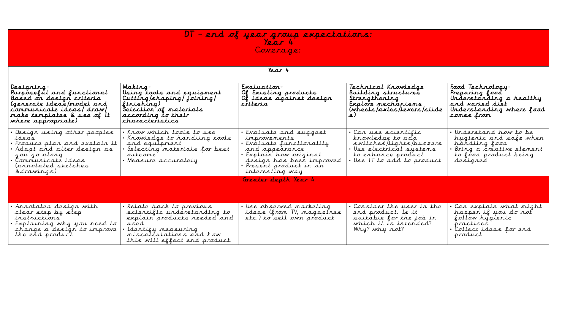#### DT – end of year group expectations: Year 4 Coverage:

Year 4

| Designing-<br>Purposeful and functional<br>Based on design criteria<br>(generate ideas/model and<br>communicate ideas/draw/<br>make templates & use of It<br>where appropriate) | Making-<br>Using tools and equipment<br>Cutting/shaping/joining/<br>finishing)<br>Selection of materials<br>according to their<br>characteristics                                 | $Exaluation-$<br>Of Existing products<br>Of ideas against design<br>criteria                                                                                                       | Technical Knowledge<br>Building structures<br>Strengthening<br>Explore mechanisms<br>(wheels/axles/levers/slide                                   | Food Technology-<br>Preparing food<br>Understanding a healthy<br>and varied diet<br>Understanding where food<br>comes from       |
|---------------------------------------------------------------------------------------------------------------------------------------------------------------------------------|-----------------------------------------------------------------------------------------------------------------------------------------------------------------------------------|------------------------------------------------------------------------------------------------------------------------------------------------------------------------------------|---------------------------------------------------------------------------------------------------------------------------------------------------|----------------------------------------------------------------------------------------------------------------------------------|
| Design using other peoples<br>ideas<br>Produce plan and explain it<br>Adapt and alter design as<br>you go along<br>Communicaté ideas<br>(annotated sketches)<br>&drawings)      | • Know which tools to use<br>• Knowledge to handling tools<br>and equipment<br>· Selecting materials for best<br>outcome<br>• Measure accurately                                  | Evaluate and suggest<br>inprovements<br>Evaluate functionality<br>and appearance<br>• Explain how original<br>design has been improved<br>Present product in an<br>interesting way | • Can use scientific<br>knowledge to add<br>switches/lights/buzzers<br>• Use electrical systems<br>to enhance product<br>Use IT to add to product | Understand how to be<br>hygienic and safe when<br>håndling food<br>Bring a créative element<br>to food product being<br>designed |
|                                                                                                                                                                                 |                                                                                                                                                                                   | Greater depth Year 4                                                                                                                                                               |                                                                                                                                                   |                                                                                                                                  |
| Annotated design with<br>clear step by step<br>instructions<br>Explaining why you need to<br>change a design to improve<br>the end product                                      | · Relate back to previous<br>scientific understanding to<br>explain products needed and<br>used<br>Identify measuring<br>miscalculations and how<br>this will effect end product. | · Use observed marketing<br>ideas (from TV, magazines<br>etc.) to sell own product                                                                                                 | · Consider the user in the<br>end product. Is it<br>suitable for the job in<br>which it is intended?<br>Why? why not?                             | Can explain what might<br>happen if you do not<br>follow hygienic<br>practises<br>• Collect ideas for end<br>product             |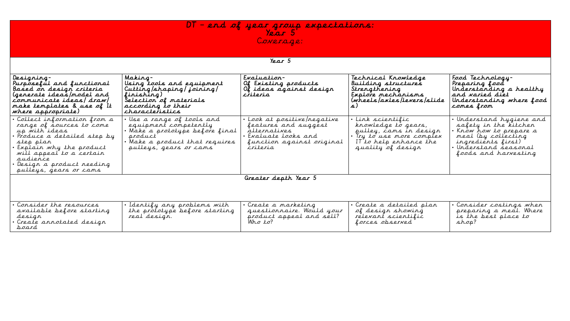DT – end of year group expectations: Year 5 Coverage:

| Year |  |
|------|--|
|      |  |

| Designing-<br>Purposeful and functional<br>Based on design criteria<br>(generate ideas/model and<br>communicate ideas/draw/<br>make templates & use of It<br>where appropriate)                                                             | Making-<br>Using tools and equipment<br>Cutting/shaping/joining/<br>finishing)<br>Selection of materials<br>according to their<br>characteristics           | Evaluation-<br>Of Existing products<br>Of ideas against design<br>cřiteria                                                       | Technical Knowledge<br>Building structures<br>Strengthening<br>Explore mechanisms<br>(wheels/axles/levers/slide                                | Food Technology-<br>Preparing food<br>Understanding a healthy<br>and varied diet<br>Understanding where food<br>comes from                                                 |
|---------------------------------------------------------------------------------------------------------------------------------------------------------------------------------------------------------------------------------------------|-------------------------------------------------------------------------------------------------------------------------------------------------------------|----------------------------------------------------------------------------------------------------------------------------------|------------------------------------------------------------------------------------------------------------------------------------------------|----------------------------------------------------------------------------------------------------------------------------------------------------------------------------|
| Collect information from a<br>range of sources to come<br>up with ideas<br>Produce a detailed step by<br>step plan<br>Explain why the product<br>will appeal to a certain<br>audience<br>Design a product needing<br>pulleys, gears or cams | · Use a range of tools and<br>equipment competently<br>· Make a prototype before final<br>product<br>Make a product that requires<br>pulleys, gears or cams | Look at positive/negative<br>features and suggest<br>alternatives<br>Evaluate looks and<br>function against original<br>criteria | . Link scientific<br>knowledge to gears,<br>pulley, cams in design<br>• Try to use more complex<br>IT to help enhance the<br>quality of design | · Understand hygiene and<br>safety in the kitchen<br>• Know how to prepare a<br>meal (by collecting<br>ingredients first)<br>· Understand seasonal<br>foods and harvesting |
|                                                                                                                                                                                                                                             |                                                                                                                                                             | Greater depth Year 5                                                                                                             |                                                                                                                                                |                                                                                                                                                                            |

| • Consider the resources  | Identify any problems with    | • Create a marketing         | .• Create a detailed plan | • Consider costings when  |
|---------------------------|-------------------------------|------------------------------|---------------------------|---------------------------|
| available before starting | the prototype before starting | Would your<br>auestionnaire. | of design showing         | ' preparing a meal. Where |
| design                    | real design.                  | product appeal and sell?     | relevant scientilic       | is the best place to      |
| Create annotated design   |                               | Who to?                      | forces observed           | shop!                     |
| poard                     |                               |                              |                           |                           |